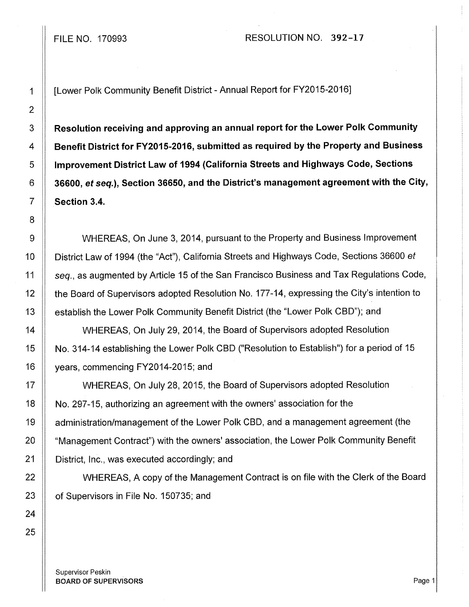## FILE NO. 170993 RESOLUTION NO. 392-17

1 [Lower Polk Community Benefit District - Annual Report for FY2015-2016]

3 | Resolution receiving and approving an annual report for the Lower Polk Community 4 **Benefit District for FY2015-2016, submitted as required by the Property and Business** 5 | Improvement District Law of 1994 (California Streets and Highways Code, Sections 6 36600, *et* seq.), Section 36650, and the District's management agreement with the City, 7 Section 3.4.

9 WHEREAS, On June 3, 2014, pursuant to the Property and Business Improvement 10 | District Law of 1994 (the "Act"), California Streets and Highways Code, Sections 36600 et 11 | seq., as augmented by Article 15 of the San Francisco Business and Tax Regulations Code, 12 | the Board of Supervisors adopted Resolution No. 177-14, expressing the City's intention to 13 | establish the Lower Polk Community Benefit District (the "Lower Polk CBD"); and

14 | WHEREAS, On July 29, 2014, the Board of Supervisors adopted Resolution 15 No. 314-14 establishing the Lower Polk CBD ("Resolution to Establish") for a period of 15 16 | years, commencing FY2014-2015; and

17 WHEREAS, On July 28, 2015, the Board of Supervisors adopted Resolution 18 No. 297-15, authorizing an agreement with the owners' association for the 19 | administration/management of the Lower Polk CBD, and a management agreement (the 20 | "Management Contract") with the owners' association, the Lower Polk Community Benefit 21 | District, Inc., was executed accordingly; and

22 | WHEREAS, A copy of the Management Contract is on file with the Clerk of the Board 23 **of Supervisors in File No. 150735; and** 

Supervisor Peskin **BOARD OF SUPERVISORS** Page 1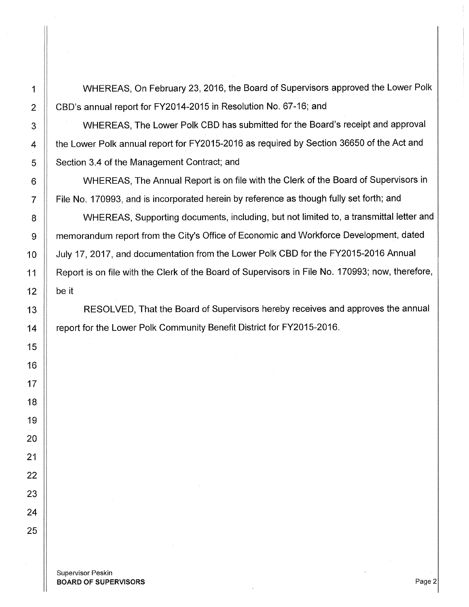1 WHEREAS, On February 23, 2016, the Board of Supervisors approved the Lower Polk 2 | CBD's annual report for FY2014-2015 in Resolution No. 67-16; and

3 | WHEREAS, The Lower Polk CBD has submitted for the Board's receipt and approval 4 | the Lower Polk annual report for FY2015-2016 as required by Section 36650 of the Act and 5 | Section 3.4 of the Management Contract; and

6 | WHEREAS, The Annual Report is on file with the Clerk of the Board of Supervisors in 7 File No. 170993, and is incorporated herein by reference as though fully set forth; and

8 | WHEREAS, Supporting documents, including, but not limited to, a transmittal letter and 9 | memorandum report from the City's Office of Economic and Workforce Development, dated 10 | July 17, 2017, and documentation from the Lower Polk CBD for the FY2015-2016 Annual 11 | Report is on file with the Clerk of the Board of Supervisors in File No. 170993; now, therefore, 12  $\parallel$  be it

13 || RESOLVED, That the Board of Supervisors hereby receives and approves the annual 14 **Figure 14** report for the Lower Polk Community Benefit District for FY2015-2016.